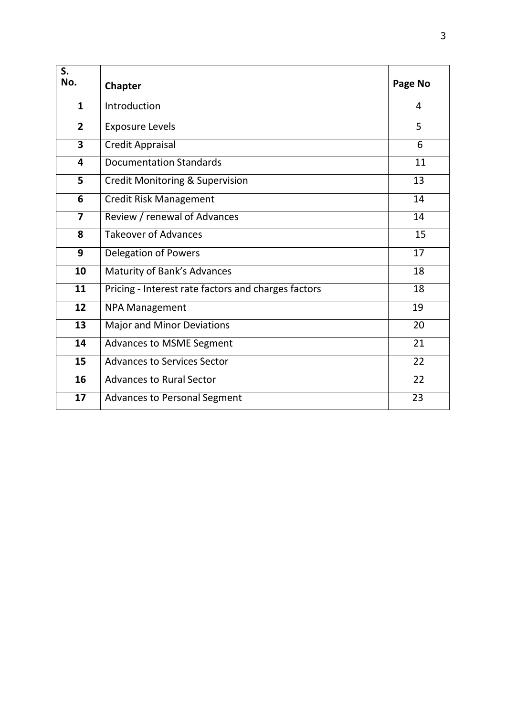| S.<br>No.               | Chapter                                             | Page No        |
|-------------------------|-----------------------------------------------------|----------------|
| $\mathbf{1}$            | Introduction                                        | $\overline{4}$ |
| $\overline{2}$          | <b>Exposure Levels</b>                              | $\overline{5}$ |
| $\overline{\mathbf{3}}$ | <b>Credit Appraisal</b>                             | 6              |
| $\overline{\mathbf{4}}$ | <b>Documentation Standards</b>                      | 11             |
| 5                       | <b>Credit Monitoring &amp; Supervision</b>          | 13             |
| $6\phantom{1}$          | <b>Credit Risk Management</b>                       | 14             |
| $\overline{\mathbf{z}}$ | Review / renewal of Advances                        | 14             |
| $\overline{\mathbf{8}}$ | <b>Takeover of Advances</b>                         | 15             |
| 9                       | <b>Delegation of Powers</b>                         | 17             |
| 10                      | Maturity of Bank's Advances                         | 18             |
| 11                      | Pricing - Interest rate factors and charges factors | 18             |
| 12                      | <b>NPA Management</b>                               | 19             |
| 13                      | <b>Major and Minor Deviations</b>                   | 20             |
| 14                      | Advances to MSME Segment                            | 21             |
| 15                      | <b>Advances to Services Sector</b>                  | 22             |
| 16                      | <b>Advances to Rural Sector</b>                     | 22             |
| 17                      | <b>Advances to Personal Segment</b>                 | 23             |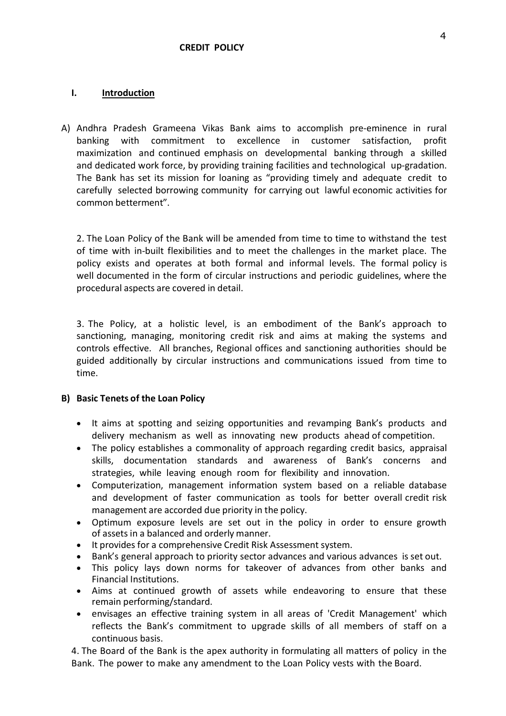## **I. Introduction**

A) Andhra Pradesh Grameena Vikas Bank aims to accomplish pre-eminence in rural banking with commitment to excellence in customer satisfaction, profit maximization and continued emphasis on developmental banking through a skilled and dedicated work force, by providing training facilities and technological up-gradation. The Bank has set its mission for loaning as "providing timely and adequate credit to carefully selected borrowing community for carrying out lawful economic activities for common betterment".

2. The Loan Policy of the Bank will be amended from time to time to withstand the test of time with in-built flexibilities and to meet the challenges in the market place. The policy exists and operates at both formal and informal levels. The formal policy is well documented in the form of circular instructions and periodic guidelines, where the procedural aspects are covered in detail.

3. The Policy, at a holistic level, is an embodiment of the Bank's approach to sanctioning, managing, monitoring credit risk and aims at making the systems and controls effective. All branches, Regional offices and sanctioning authorities should be guided additionally by circular instructions and communications issued from time to time.

## **B) Basic Tenets of the Loan Policy**

- It aims at spotting and seizing opportunities and revamping Bank's products and delivery mechanism as well as innovating new products ahead of competition.
- The policy establishes a commonality of approach regarding credit basics, appraisal skills, documentation standards and awareness of Bank's concerns and strategies, while leaving enough room for flexibility and innovation.
- Computerization, management information system based on a reliable database and development of faster communication as tools for better overall credit risk management are accorded due priority in the policy.
- Optimum exposure levels are set out in the policy in order to ensure growth of assets in a balanced and orderly manner.
- It provides for a comprehensive Credit Risk Assessment system.
- Bank's general approach to priority sector advances and various advances is set out.
- This policy lays down norms for takeover of advances from other banks and Financial Institutions.
- Aims at continued growth of assets while endeavoring to ensure that these remain performing/standard.
- envisages an effective training system in all areas of 'Credit Management' which reflects the Bank's commitment to upgrade skills of allmembers of staff on a continuous basis.

4. The Board of the Bank is the apex authority in formulating all matters of policy in the Bank. The power to make any amendment to the Loan Policy vests with the Board.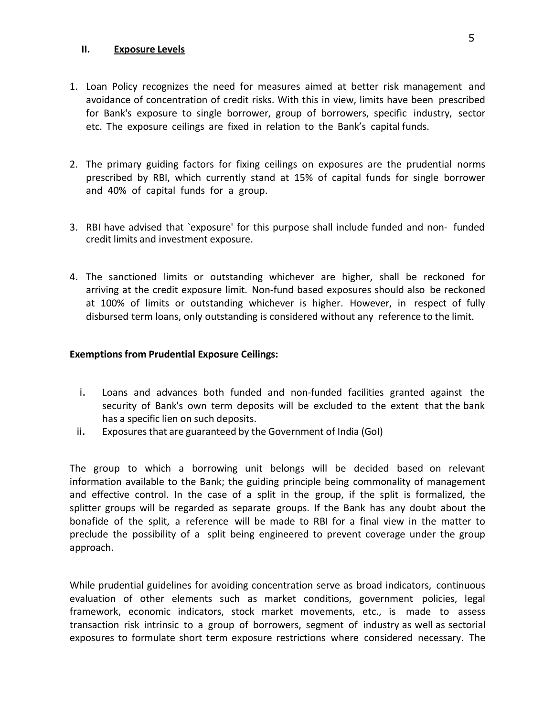#### **II. Exposure Levels**

- 1. Loan Policy recognizes the need for measures aimed at better risk management and avoidance of concentration of credit risks. With this in view, limits have been prescribed for Bank's exposure to single borrower, group of borrowers, specific industry, sector etc. The exposure ceilings are fixed in relation to the Bank's capitalfunds.
- 2. The primary guiding factors for fixing ceilings on exposures are the prudential norms prescribed by RBI, which currently stand at 15% of capital funds for single borrower and 40% of capital funds for a group.
- 3. RBI have advised that `exposure' for this purpose shall include funded and non- funded credit limits and investment exposure.
- 4. The sanctioned limits or outstanding whichever are higher, shall be reckoned for arriving at the credit exposure limit. Non-fund based exposures should also be reckoned at 100% of limits or outstanding whichever is higher. However, in respect of fully disbursed term loans, only outstanding is considered without any reference to the limit.

#### **Exemptions from Prudential Exposure Ceilings:**

- i. Loans and advances both funded and non-funded facilities granted against the security of Bank's own term deposits will be excluded to the extent that the bank has a specific lien on such deposits.
- ii. Exposures that are guaranteed by the Government of India (GoI)

The group to which a borrowing unit belongs will be decided based on relevant information available to the Bank; the guiding principle being commonality of management and effective control. In the case of a split in the group, if the split is formalized, the splitter groups will be regarded as separate groups. If the Bank has any doubt about the bonafide of the split, a reference will be made to RBI for a final view in the matter to preclude the possibility of a split being engineered to prevent coverage under the group approach.

While prudential guidelines for avoiding concentration serve as broad indicators, continuous evaluation of other elements such as market conditions, government policies, legal framework, economic indicators, stock market movements, etc., is made to assess transaction risk intrinsic to agroup of borrowers, segment of industry aswell as sectorial exposures to formulate short term exposure restrictions where considered necessary. The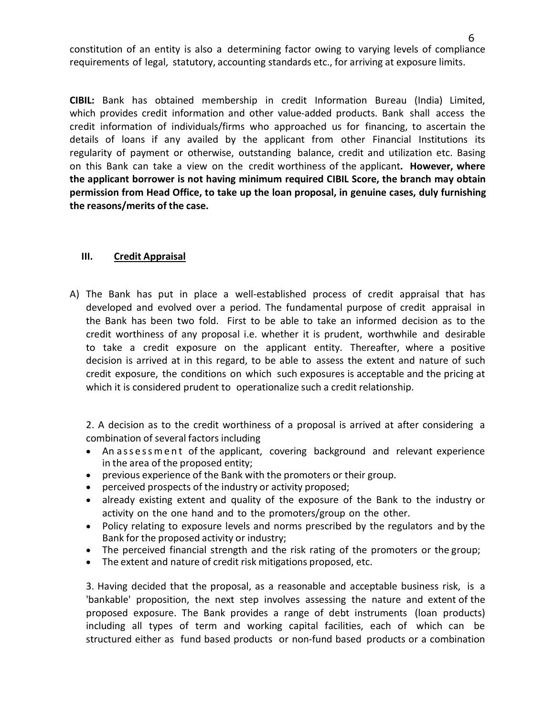constitution of an entity is also a determining factor owing to varying levels of compliance requirements of legal, statutory, accounting standards etc., for arriving at exposure limits.

**CIBIL:** Bank has obtained membership in credit Information Bureau (India) Limited, which provides credit information and other value-added products. Bank shall access the credit information of individuals/firms who approached us for financing, to ascertain the details of loans if any availed by the applicant from other Financial Institutions its regularity of payment or otherwise, outstanding balance, credit and utilization etc. Basing on this Bank can take a view on the credit worthiness of the applicant**. However, where the applicant borrower is not having minimum required CIBIL Score, the branch may obtain permission from Head Office, to take up the loan proposal, in genuine cases, duly furnishing the reasons/merits of the case.**

## **III. Credit Appraisal**

A) The Bank has put in place a well-established process of credit appraisal that has developed and evolved over a period. The fundamental purpose of credit appraisal in the Bank has been two fold. First to be able to take an informed decision as to the credit worthiness of any proposal i.e. whether it is prudent, worthwhile and desirable to take a credit exposure on the applicant entity. Thereafter, where a positive decision is arrived at in this regard, to be able to assess the extent and nature of such credit exposure, the conditions on which such exposures is acceptable and the pricing at which it is considered prudent to operationalize such a credit relationship.

2. A decision as to the credit worthiness of a proposal is arrived at after considering a combination of several factors including

- An assessment of the applicant, covering background and relevant experience in the area of the proposed entity;
- previous experience of the Bank with the promoters or their group.
- perceived prospects of the industry or activity proposed;
- already existing extent and quality of the exposure of the Bank to the industry or activity on the one hand and to the promoters/group on the other.
- Policy relating to exposure levels and norms prescribed by the regulators and by the Bank for the proposed activity or industry;
- The perceived financial strength and the risk rating of the promoters or the group;
- The extent and nature of credit risk mitigations proposed, etc.

3. Having decided that the proposal, as a reasonable and acceptable business risk, is a 'bankable' proposition, the next step involves assessing the nature and extent of the proposed exposure. The Bank provides a range of debt instruments (loan products) including all types of term and working capital facilities, each of which can be structured either as fund based products or non-fund based products or a combination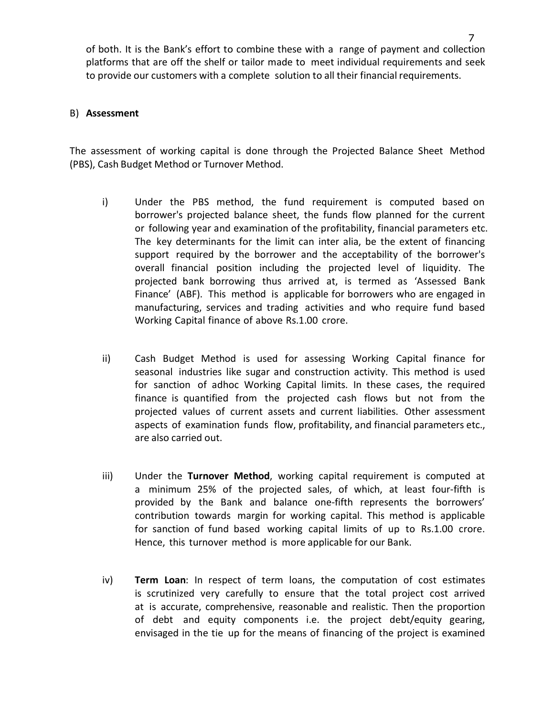of both. It is the Bank's effort to combine these with a range of payment and collection platforms that are off the shelf or tailor made to meet individual requirements and seek to provide our customers with a complete solution to all their financial requirements.

#### B) **Assessment**

The assessment of working capital is done through the Projected Balance Sheet Method (PBS), Cash Budget Method or Turnover Method.

- i) Under the PBS method, the fund requirement is computed based on borrower's projected balance sheet, the funds flow planned for the current or following year and examination of the profitability, financial parameters etc. The key determinants for the limit can inter alia, be the extent of financing support required by the borrower and the acceptability of the borrower's overall financial position including the projected level of liquidity. The projected bank borrowing thus arrived at, is termed as 'Assessed Bank Finance' (ABF). This method is applicable for borrowers who are engaged in manufacturing, services and trading activities and who require fund based Working Capital finance of above Rs.1.00 crore.
- ii) Cash Budget Method is used for assessing Working Capital finance for seasonal industries like sugar and construction activity. This method is used for sanction of adhoc Working Capital limits. In these cases, the required finance is quantified from the projected cash flows but not from the projected values of current assets and current liabilities. Other assessment aspects of examination funds flow, profitability, and financial parameters etc., are also carried out.
- iii) Under the **Turnover Method**, working capital requirement is computed at a minimum 25% of the projected sales, of which, at least four-fifth is provided by the Bank and balance one-fifth represents the borrowers' contribution towards margin for working capital. This method is applicable for sanction of fund based working capital limits of up to Rs.1.00 crore. Hence, this turnover method is more applicable for our Bank.
- iv) **Term Loan**: In respect of term loans, the computation of cost estimates is scrutinized very carefully to ensure that the total project cost arrived at is accurate, comprehensive, reasonable and realistic. Then the proportion of debt and equity components i.e. the project debt/equity gearing, envisaged in the tie up for the means of financing of the project is examined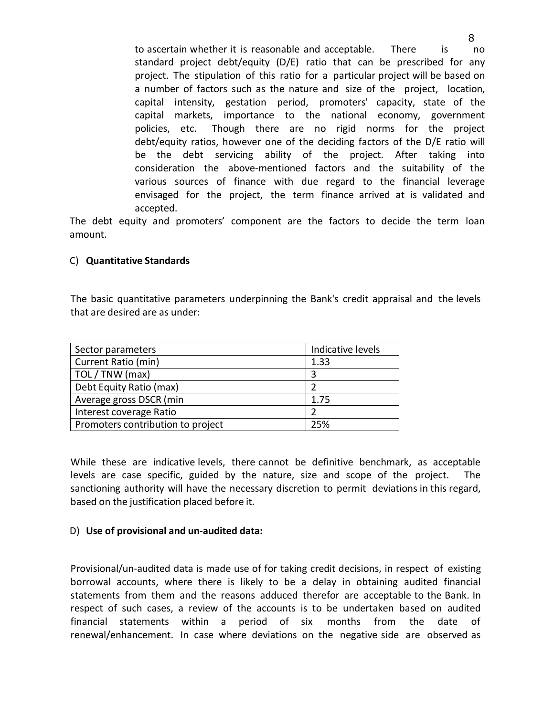to ascertain whether it is reasonable and acceptable. There is no standard project debt/equity (D/E) ratio that can be prescribed for any project. The stipulation of this ratio for a particular project will be based on a number of factors such as the nature and size of the project, location, capital intensity, gestation period, promoters' capacity, state of the capital markets, importance to the national economy, government policies, etc. Though there are no rigid norms for the project debt/equity ratios, however one of the deciding factors of the D/E ratio will be the debt servicing ability of the project. After taking into consideration the above-mentioned factors and the suitability of the various sources of finance with due regard to the financial leverage envisaged for the project, the term finance arrived at is validated and accepted.

The debt equity and promoters' component are the factors to decide the term loan amount.

## C) **Quantitative Standards**

The basic quantitative parameters underpinning the Bank's credit appraisal and the levels that are desired are as under:

| Sector parameters                 | Indicative levels |
|-----------------------------------|-------------------|
| Current Ratio (min)               | 1.33              |
| TOL / TNW (max)                   |                   |
| Debt Equity Ratio (max)           |                   |
| Average gross DSCR (min           | 1.75              |
| Interest coverage Ratio           |                   |
| Promoters contribution to project | 25%               |

While these are indicative levels, there cannot be definitive benchmark, as acceptable levels are case specific, guided by the nature, size and scope of the project. The sanctioning authority will have the necessary discretion to permit deviations in this regard, based on the justification placed before it.

## D) **Use of provisional and un-audited data:**

Provisional/un-audited data is made use of for taking credit decisions, in respect of existing borrowal accounts, where there is likely to be a delay in obtaining audited financial statements from them and the reasons adduced therefor are acceptable to the Bank. In respect of such cases, a review of the accounts is to be undertaken based on audited financial statements within a period of six months from the date of renewal/enhancement. In case where deviations on the negative side are observed as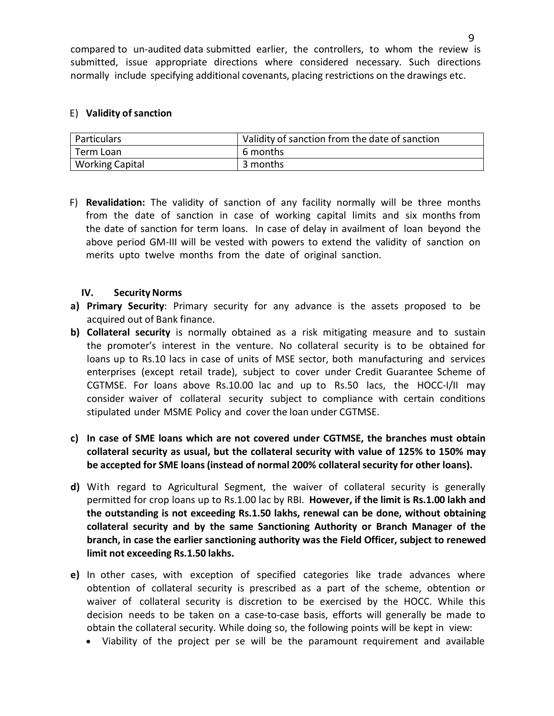compared to un-audited data submitted earlier, the controllers, to whom the review is submitted, issue appropriate directions where considered necessary. Such directions normally include specifying additional covenants, placing restrictions on the drawings etc.

#### E) **Validity of sanction**

| <sup>'</sup> Particulars | Validity of sanction from the date of sanction |
|--------------------------|------------------------------------------------|
| ' Term Loan              | 6 months                                       |
| <b>Working Capital</b>   | 3 months                                       |

F) **Revalidation:** The validity of sanction of any facility normally will be three months from the date of sanction in case of working capital limits and six months from the date of sanction for term loans. In case of delay in availment of loan beyond the above period GM-III will be vested with powers to extend the validity of sanction on merits upto twelve months from the date of original sanction.

## **IV.** Security Norms

- **a) Primary Security**: Primary security for any advance is the assets proposed to be acquired out of Bank finance.
- **b) Collateral security** is normally obtained as a risk mitigating measure and to sustain the promoter's interest in the venture. No collateral security isto be obtained for loans up to Rs.10 lacs in case of units of MSE sector, both manufacturing and services enterprises (except retail trade), subject to cover under Credit Guarantee Scheme of CGTMSE. For loans above Rs.10.00 lac and up to Rs.50 lacs, the HOCC-I/II may consider waiver of collateral security subject to compliance with certain conditions stipulated under MSME Policy and cover the loan under CGTMSE.
- **c) In case of SME loans which are not covered under CGTMSE, the branches must obtain collateral security as usual, but the collateral security with value of 125% to 150% may be accepted for SME loans (instead of normal 200% collateralsecurity for other loans).**
- **d)** With regard to Agricultural Segment, the waiver of collateral security is generally permitted for crop loans up to Rs.1.00 lac by RBI. **However, if the limit is Rs.1.00 lakh and the outstanding is not exceeding Rs.1.50 lakhs, renewal can be done, without obtaining collateral security and by the same Sanctioning Authority or Branch Manager of the branch, in case the earlier sanctioning authority was the Field Officer, subject to renewed limit not exceeding Rs.1.50 lakhs.**
- **e)** In other cases, with exception of specified categories like trade advances where obtention of collateral security is prescribed as a part of the scheme, obtention or waiver of collateral security is discretion to be exercised by the HOCC. While this decision needs to be taken on acase-to-case basis, efforts will generally be made to obtain the collateral security. While doing so, the following points will be kept in view:
	- Viability of the project per se will be the paramount requirement and available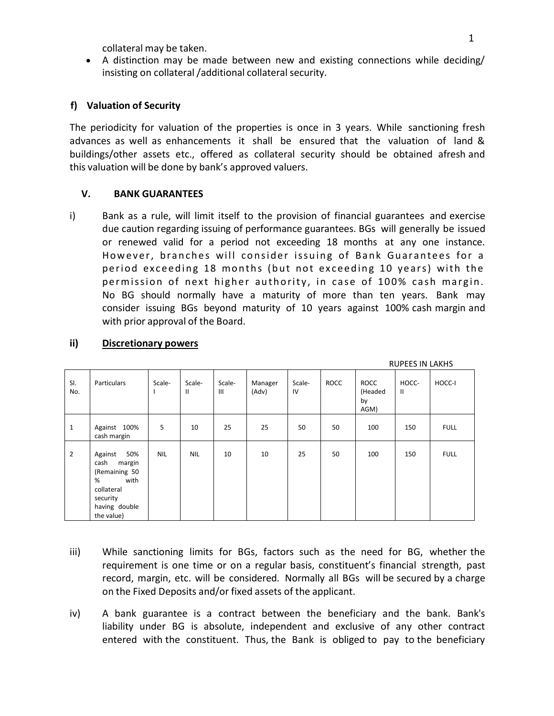collateral may be taken.

 A distinction may be made between new and existing connections while deciding/ insisting on collateral /additional collateral security.

## **f) Valuation of Security**

The periodicity for valuation of the properties is once in 3 years. While sanctioning fresh advances as well as enhancements it shall be ensured that the valuation of land & buildings/other assets etc., offered as collateral security should be obtained afresh and this valuation will be done by bank's approved valuers.

## **V. BANK GUARANTEES**

i) Bank as a rule, will limit itself to the provision of financial guarantees and exercise due caution regarding issuing of performance guarantees. BGs will generally be issued or renewed valid for a period not exceeding 18 months at any one instance. However, branches will consider issuing of Bank Guarantees for a period exceeding 18 months (but not exceeding 10 years) with the permission of next higher authority, in case of 100% cash margin. No BG should normally have a maturity of more than ten years. Bank may consider issuing BGs beyond maturity of 10 years against 100% cash margin and with prior approval of the Board.

| SI.<br>No.     | Particulars                                                                                                             | Scale-     | Scale-<br>$\mathbf{H}$ | Scale-<br>III | Manager<br>(Adv) | Scale-<br>IV | ROCC | <b>ROCC</b><br>(Headed<br>by<br>AGM) | HOCC-<br>$\mathbf{II}$ | HOCC-I      |
|----------------|-------------------------------------------------------------------------------------------------------------------------|------------|------------------------|---------------|------------------|--------------|------|--------------------------------------|------------------------|-------------|
| $\mathbf{1}$   | Against 100%<br>cash margin                                                                                             | 5          | 10                     | 25            | 25               | 50           | 50   | 100                                  | 150                    | <b>FULL</b> |
| $\overline{2}$ | 50%<br>Against<br>cash<br>margin<br>(Remaining 50<br>%<br>with<br>collateral<br>security<br>having double<br>the value) | <b>NIL</b> | <b>NIL</b>             | 10            | 10               | 25           | 50   | 100                                  | 150                    | <b>FULL</b> |

#### **ii) Discretionary powers**

- iii) While sanctioning limits for BGs, factors such as the need for BG, whether the requirement is one time or on a regular basis, constituent's financial strength, past record, margin, etc. will be considered. Normally all BGs will be secured by a charge on the Fixed Deposits and/or fixed assets of the applicant.
- iv) A bank guarantee is a contract between the beneficiary and the bank. Bank's liability under BG is absolute, independent and exclusive of any other contract entered with the constituent. Thus, the Bank is obliged to pay to the beneficiary

RUPEES IN LAKHS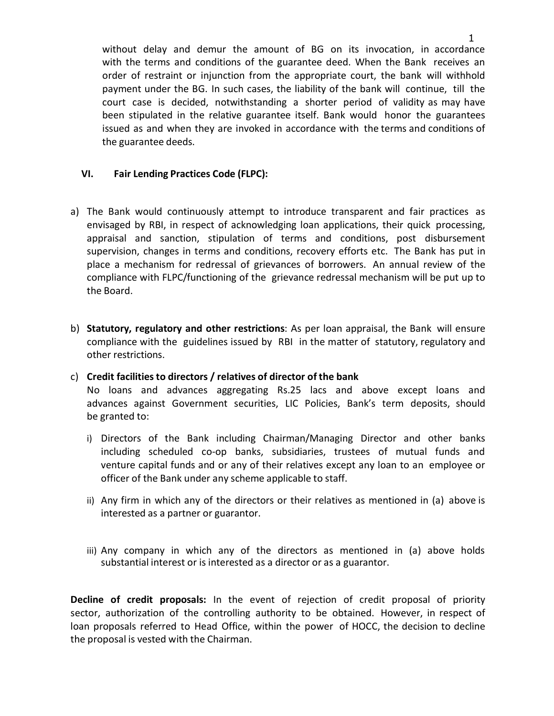without delay and demur the amount of BG on its invocation, in accordance with the terms and conditions of the guarantee deed. When the Bank receives an order of restraint or injunction from the appropriate court, the bank will withhold payment under the BG. In such cases, the liability of the bank will continue, till the court case is decided, notwithstanding a shorter period of validity as may have been stipulated in the relative guarantee itself. Bank would honor the guarantees issued as and when they are invoked in accordance with the terms and conditions of the guarantee deeds.

## **VI. Fair Lending Practices Code (FLPC):**

- a) The Bank would continuously attempt to introduce transparent and fair practices as envisaged by RBI, in respect of acknowledging loan applications, their quick processing, appraisal and sanction, stipulation of terms and conditions, post disbursement supervision, changes in terms and conditions, recovery efforts etc. The Bank has put in place a mechanism for redressal of grievances of borrowers. An annual review of the compliance with FLPC/functioning of the grievance redressal mechanism will be put up to the Board.
- b) **Statutory, regulatory and other restrictions**: As per loan appraisal, the Bank will ensure compliance with the guidelines issued by RBI in the matter of statutory, regulatory and other restrictions.

## c) **Credit facilitiesto directors / relatives of director of the bank**

No loans and advances aggregating Rs.25 lacs and above except loans and advances against Government securities, LIC Policies, Bank's term deposits, should be granted to:

- i) Directors of the Bank including Chairman/Managing Director and other banks including scheduled co-op banks, subsidiaries, trustees of mutual funds and venture capital funds and or any of their relatives except any loan to an employee or officer of the Bank under any scheme applicable to staff.
- ii) Any firm in which any of the directors or their relatives as mentioned in (a) above is interested as a partner or guarantor.
- iii) Any company in which any of the directors as mentioned in (a) above holds substantial interest or is interested as a director or as a guarantor.

**Decline of credit proposals:** In the event of rejection of credit proposal of priority sector, authorization of the controlling authority to be obtained. However, in respect of loan proposals referred to Head Office, within the power of HOCC, the decision to decline the proposal is vested with the Chairman.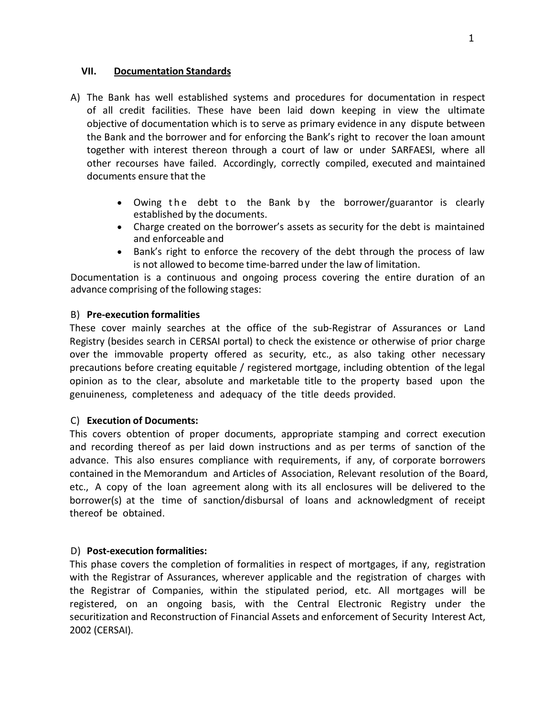#### **VII. Documentation Standards**

- A) The Bank has well established systems and procedures for documentation in respect of all credit facilities. These have been laid down keeping in view the ultimate objective of documentation which is to serve as primary evidence in any dispute between the Bank and the borrower and for enforcing the Bank's right to recover the loan amount together with interest thereon through a court of law or under SARFAESI, where all other recourses have failed. Accordingly, correctly compiled, executed and maintained documents ensure that the
	- Owing the debt to the Bank by the borrower/guarantor is clearly established by the documents.
	- Charge created on the borrower's assets as security for the debt is maintained and enforceable and
	- Bank's right to enforce the recovery of the debt through the process of law is not allowed to become time-barred under the law of limitation.

Documentation is a continuous and ongoing process covering the entire duration of an advance comprising of the following stages:

## B) **Pre-execution formalities**

These cover mainly searches at the office of the sub-Registrar of Assurances or Land Registry (besides search in CERSAI portal) to check the existence or otherwise of prior charge over the immovable property offered as security, etc., as also taking other necessary precautions before creating equitable / registered mortgage, including obtention of the legal opinion as to the clear, absolute and marketable title to the property based upon the genuineness, completeness and adequacy of the title deeds provided.

## C) **Execution of Documents:**

This covers obtention of proper documents, appropriate stamping and correct execution and recording thereof as per laid down instructions and as per terms of sanction of the advance. This also ensures compliance with requirements, if any, of corporate borrowers contained in the Memorandum and Articles of Association, Relevant resolution of the Board, etc., A copy of the loan agreement along with its all enclosures will be delivered to the borrower(s) at the time of sanction/disbursal of loans and acknowledgment of receipt thereof be obtained.

## D) **Post-execution formalities:**

This phase covers the completion of formalities in respect of mortgages, if any, registration with the Registrar of Assurances, wherever applicable and the registration of charges with the Registrar of Companies, within the stipulated period, etc. All mortgages will be registered, on an ongoing basis, with the Central Electronic Registry under the securitization and Reconstruction of Financial Assets and enforcement of Security Interest Act, 2002 (CERSAI).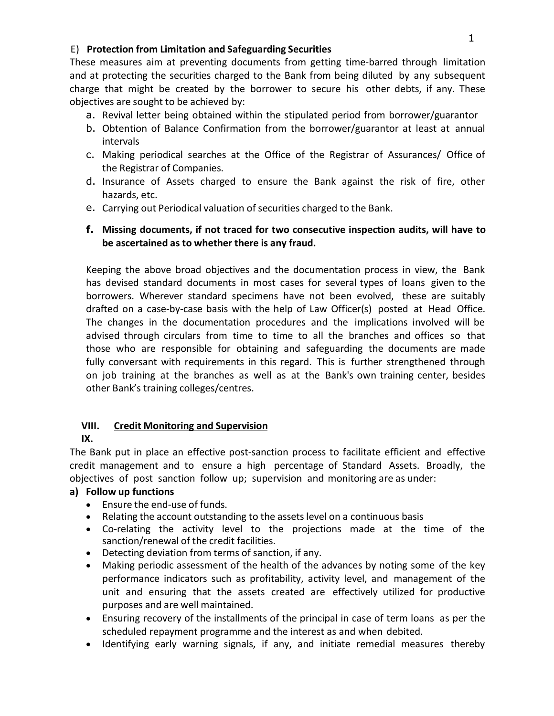## E) **Protection from Limitation and Safeguarding Securities**

These measures aim at preventing documents from getting time-barred through limitation and at protecting the securities charged to the Bank from being diluted by any subsequent charge that might be created by the borrower to secure his other debts, if any. These objectives are sought to be achieved by:

- a. Revival letter being obtained within the stipulated period from borrower/guarantor
- b. Obtention of Balance Confirmation from the borrower/guarantor at least at annual intervals
- c. Making periodical searches at the Office of the Registrar of Assurances/ Office of the Registrar of Companies.
- d. Insurance of Assets charged to ensure the Bank against the risk of fire, other hazards, etc.
- e. Carrying out Periodical valuation of securities charged to the Bank.

## **f. Missing documents, if not traced for two consecutive inspection audits, will have to be ascertained as to whether there is any fraud.**

Keeping the above broad objectives and the documentation process in view, the Bank has devised standard documents in most cases for several types of loans given to the borrowers. Wherever standard specimens have not been evolved, these are suitably drafted on a case-by-case basis with the help of Law Officer(s) posted at Head Office. The changes in the documentation procedures and the implications involved will be advised through circulars from time to time to all the branches and offices so that those who are responsible for obtaining and safeguarding the documents are made fully conversant with requirements in this regard. This is further strengthened through on job training at the branches as well as at the Bank's own training center, besides other Bank's training colleges/centres.

# **VIII. Credit Monitoring and Supervision**

**IX.**

The Bank put in place an effective post-sanction process to facilitate efficient and effective credit management and to ensure a high percentage of Standard Assets. Broadly, the objectives of post sanction follow up; supervision and monitoring are as under:

## **a) Follow up functions**

- Ensure the end-use of funds.
- Relating the account outstanding to the assets level on a continuous basis
- Co-relating the activity level to the projections made at the time of the sanction/renewal of the credit facilities.
- Detecting deviation from terms of sanction, if any.
- Making periodic assessment of the health of the advances by noting some of the key performance indicators such as profitability, activity level, and management of the unit and ensuring that the assets created are effectively utilized for productive purposes and are well maintained.
- Ensuring recovery of the installments of the principal in case of term loans as per the scheduled repayment programme and the interest as and when debited.
- Identifying early warning signals, if any, and initiate remedial measures thereby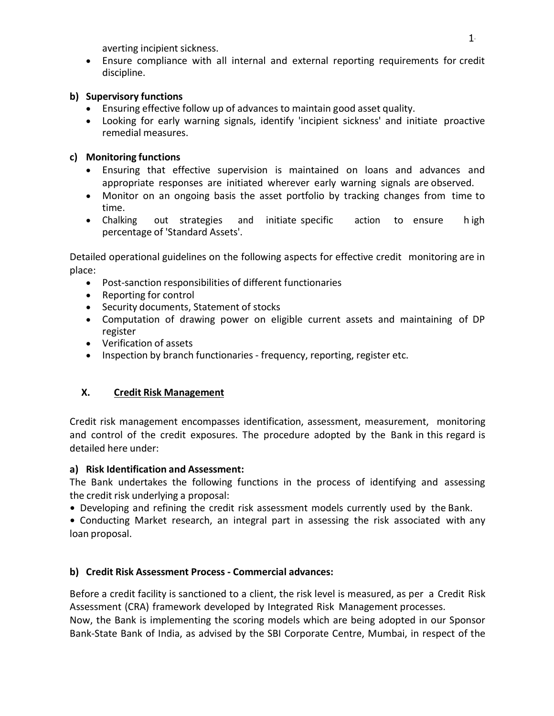averting incipient sickness.

 Ensure compliance with all internal and external reporting requirements for credit discipline.

## **b) Supervisory functions**

- Ensuring effective follow up of advances to maintain good asset quality.
- Looking for early warning signals, identify 'incipient sickness' and initiate proactive remedial measures.

## **c) Monitoring functions**

- Ensuring that effective supervision is maintained on loans and advances and appropriate responses are initiated wherever early warning signals are observed.
- Monitor on an ongoing basis the asset portfolio by tracking changes from time to time.
- Chalking out strategies and initiate specific action to ensure h igh percentage of 'Standard Assets'.

Detailed operational guidelines on the following aspects for effective credit monitoring are in place:

- Post-sanction responsibilities of different functionaries
- Reporting for control
- Security documents, Statement of stocks
- Computation of drawing power on eligible current assets and maintaining of DP register
- Verification of assets
- Inspection by branch functionaries frequency, reporting, register etc.

## **X. Credit Risk Management**

Credit risk management encompasses identification, assessment, measurement, monitoring and control of the credit exposures. The procedure adopted by the Bank in this regard is detailed here under:

## **a) Risk Identification and Assessment:**

The Bank undertakes the following functions in the process of identifying and assessing the credit risk underlying a proposal:

• Developing and refining the credit risk assessment models currently used by the Bank.

• Conducting Market research, an integral part in assessing the risk associated with any loan proposal.

## **b) Credit Risk Assessment Process - Commercial advances:**

Before a credit facility is sanctioned to a client, the risk level is measured, as per a Credit Risk Assessment (CRA) framework developed by Integrated Risk Management processes.

Now, the Bank is implementing the scoring models which are being adopted in our Sponsor Bank-State Bank of India, as advised by the SBI Corporate Centre, Mumbai, in respect of the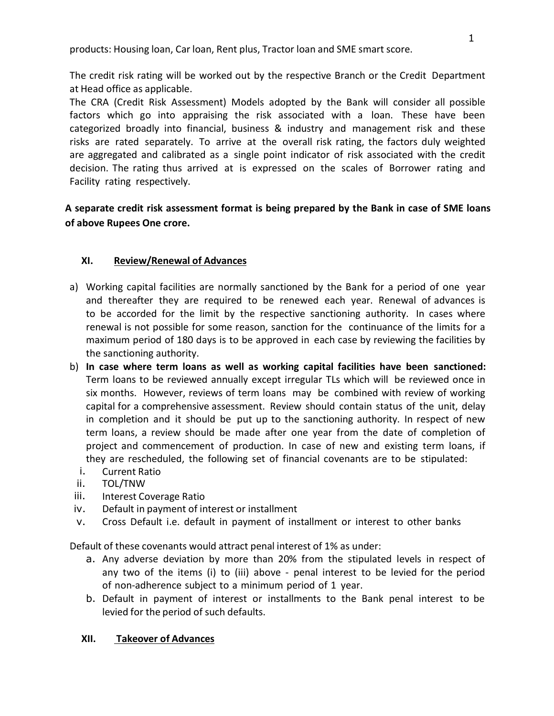products: Housing loan, Car loan, Rent plus, Tractor loan and SME smart score.

The credit risk rating will be worked out by the respective Branch or the Credit Department at Head office as applicable.

The CRA (Credit Risk Assessment) Models adopted by the Bank will consider all possible factors which go into appraising the risk associated with a loan. These have been categorized broadly into financial, business & industry and management risk and these risks are rated separately. To arrive at the overall risk rating, the factors duly weighted are aggregated and calibrated as a single point indicator of risk associated with the credit decision. The rating thus arrived at is expressed on the scales of Borrower rating and Facility rating respectively.

# **A separate credit risk assessment format is being prepared by the Bank in case of SME loans of above Rupees One crore.**

# **XI. Review/Renewal of Advances**

- a) Working capital facilities are normally sanctioned by the Bank for a period of one year and thereafter they are required to be renewed each year. Renewal of advances is to be accorded for the limit by the respective sanctioning authority. In cases where renewal is not possible for some reason, sanction for the continuance of the limits for a maximum period of 180 days is to be approved in each case by reviewing the facilities by the sanctioning authority.
- b) **In case where term loans as well as working capital facilities have been sanctioned:** Term loans to be reviewed annually except irregular TLs which will be reviewed once in six months. However, reviews of term loans may be combined with review of working capital for a comprehensive assessment. Review should contain status of the unit, delay in completion and it should be put up to the sanctioning authority. In respect of new term loans, a review should be made after one year from the date of completion of project and commencement of production. In case of new and existing term loans, if they are rescheduled, the following set of financial covenants are to be stipulated:
	- i. Current Ratio
- ii. TOL/TNW
- iii. Interest Coverage Ratio
- iv. Default in payment of interest or installment
- v. Cross Default i.e. default in payment of installment or interest to other banks

Default of these covenants would attract penal interest of 1% as under:

- a. Any adverse deviation by more than 20% from the stipulated levels in respect of any two of the items (i) to (iii) above - penal interest to be levied for the period of non-adherence subject to a minimum period of 1 year.
- b. Default in payment of interest or installments to the Bank penal interest to be levied for the period of such defaults.

## **XII. Takeover of Advances**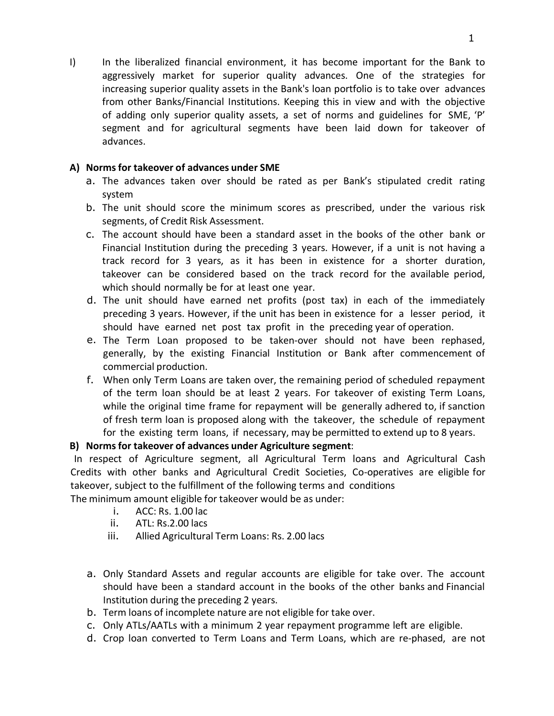I) In the liberalized financial environment, it has become important for the Bank to aggressively market for superior quality advances. One of the strategies for increasing superior quality assets in the Bank's loan portfolio is to take over advances from other Banks/Financial Institutions. Keeping this in view and with the objective of adding only superior quality assets, a set of norms and guidelines for SME, 'P' segment and for agricultural segments have been laid down for takeover of advances.

## **A) Normsfor takeover of advances under SME**

- a. The advances taken over should be rated as per Bank's stipulated credit rating system
- b. The unit should score the minimum scores as prescribed, under the various risk segments, of Credit Risk Assessment.
- c. The account should have been a standard asset in the books of the other bank or Financial Institution during the preceding 3 years. However, if a unit is not having a track record for 3 years, as it has been in existence for a shorter duration, takeover can be considered based on the track record for the available period, which should normally be for at least one year.
- d. The unit should have earned net profits (post tax) in each of the immediately preceding 3 years. However, if the unit has been in existence for a lesser period, it should have earned net post tax profit in the preceding year of operation.
- e. The Term Loan proposed to be taken-over should not have been rephased, generally, by the existing Financial Institution or Bank after commencement of commercial production.
- f. When only Term Loans are taken over, the remaining period of scheduled repayment of the term loan should be at least 2 years. For takeover of existing Term Loans, while the original time frame for repayment will be generally adhered to, if sanction of fresh term loan is proposed along with the takeover, the schedule of repayment for the existing term loans, if necessary, may be permitted to extend up to 8 years.

# **B) Normsfor takeover of advances under Agriculture segment**:

In respect of Agriculture segment, all Agricultural Term loans and Agricultural Cash Credits with other banks and Agricultural Credit Societies, Co-operatives are eligible for takeover, subject to the fulfillment of the following terms and conditions

The minimum amount eligible for takeover would be as under:

- i. ACC: Rs. 1.00 lac
- ii. ATL: Rs.2.00 lacs
- iii. Allied Agricultural Term Loans: Rs. 2.00 lacs
- a. Only Standard Assets and regular accounts are eligible for take over. The account should have been a standard account in the books of the other banks and Financial Institution during the preceding 2 years.
- b. Term loans of incomplete nature are noteligible for take over.
- c. Only ATLs/AATLs with a minimum 2 year repayment programme left are eligible.
- d. Crop loan converted to Term Loans and Term Loans, which are re-phased, are not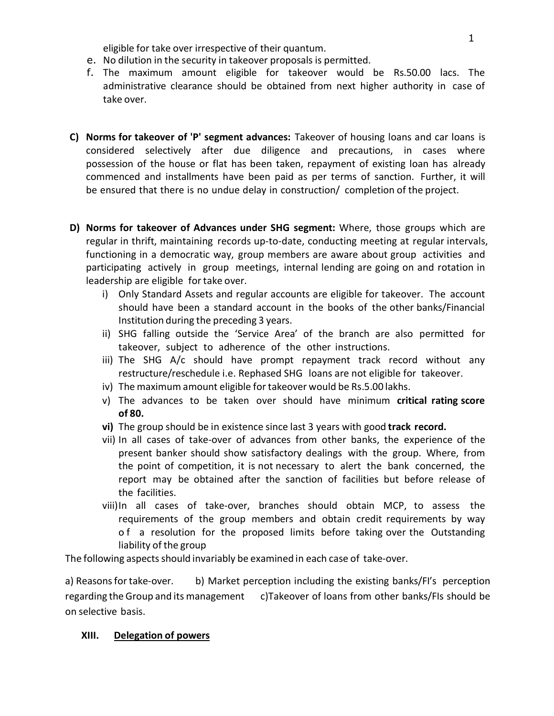eligible for take over irrespective of their quantum.

- e. No dilution in the security in takeover proposals is permitted.
- f. The maximum amount eligible for takeover would be Rs.50.00 lacs. The administrative clearance should be obtained from next higher authority in case of take over.
- **C) Norms for takeover of 'P' segment advances:** Takeover of housing loans and car loans is considered selectively after due diligence and precautions, in cases where possession of the house or flat has been taken, repayment of existing loan has already commenced and installments have been paid as per terms of sanction. Further, it will be ensured that there is no undue delay in construction/ completion of the project.
- **D) Norms for takeover of Advances under SHG segment:** Where, those groups which are regular in thrift, maintaining records up-to-date, conducting meeting at regular intervals, functioning in a democratic way, group members are aware about group activities and participating actively in group meetings, internal lending are going on and rotation in leadership are eligible fortake over.
	- i) Only Standard Assets and regular accounts are eligible for takeover. The account should have been a standard account in the books of the other banks/Financial Institution during the preceding 3 years.
	- ii) SHG falling outside the 'Service Area' of the branch are also permitted for takeover, subject to adherence of the other instructions.
	- iii) The SHG A/c should have prompt repayment track record without any restructure/reschedule i.e. Rephased SHG loans are not eligible for takeover.
	- iv) The maximum amount eligible for takeover would be Rs.5.00 lakhs.
	- v) The advances to be taken over should have minimum **critical rating score of 80.**
	- **vi)** The group should be in existence since last 3 years with good **track record.**
	- vii) In all cases of take-over of advances from other banks, the experience of the present banker should show satisfactory dealings with the group. Where, from the point of competition, it is not necessary to alert the bank concerned, the report may be obtained after the sanction of facilities but before release of the facilities.
	- viii)In all cases of take-over, branches should obtain MCP, to assess the requirements of the group members and obtain credit requirements by way of a resolution for the proposed limits before taking over the Outstanding liability of the group

The following aspects should invariably be examined in each case of take-over.

a) Reasons for take-over. b) Market perception including the existing banks/FI's perception regarding the Group and its management c)Takeover of loans from other banks/FIs should be on selective basis.

## **XIII. Delegation of powers**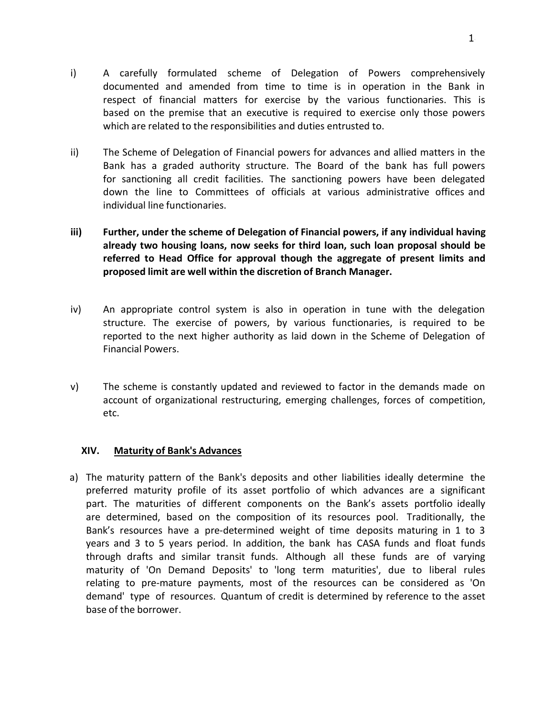- i) A carefully formulated scheme of Delegation of Powers comprehensively documented and amended from time to time is in operation in the Bank in respect of financial matters for exercise by the various functionaries. This is based on the premise that an executive is required to exercise only those powers which are related to the responsibilities and duties entrusted to.
- ii) The Scheme of Delegation of Financial powers for advances and allied matters in the Bank has a graded authority structure. The Board of the bank has full powers for sanctioning all credit facilities. The sanctioning powers have been delegated down the line to Committees of officials at various administrative offices and individual line functionaries.
- **iii) Further, under the scheme of Delegation of Financial powers, if any individualhaving already two housing loans, now seeks for third loan, such loan proposal should be referred to Head Office for approval though the aggregate of present limits and proposed limit are well within the discretion of Branch Manager.**
- iv) An appropriate control system is also in operation in tune with the delegation structure. The exercise of powers, by various functionaries, is required to be reported to the next higher authority as laid down in the Scheme of Delegation of Financial Powers.
- v) The scheme is constantly updated and reviewed to factor in the demands made on account of organizational restructuring, emerging challenges, forces of competition, etc.

## **XIV. Maturity of Bank's Advances**

a) The maturity pattern of the Bank's deposits and other liabilities ideally determine the preferred maturity profile of its asset portfolio of which advances are a significant part. The maturities of different components on the Bank's assets portfolio ideally are determined, based on the composition of its resources pool. Traditionally, the Bank's resources have a pre-determined weight of time deposits maturing in 1 to 3 years and 3 to 5 years period. In addition, the bank has CASA funds and float funds through drafts and similar transit funds. Although all these funds are of varying maturity of 'On Demand Deposits' to 'long term maturities', due to liberal rules relating to pre-mature payments, most of the resources can be considered as 'On demand' type of resources. Quantum of credit is determined by reference to the asset base of the borrower.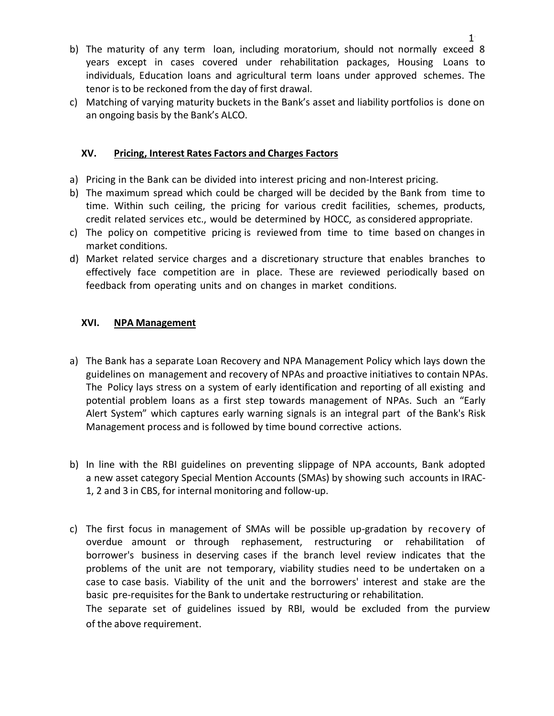- b) The maturity of any term loan, including moratorium, should not normally exceed 8 years except in cases covered under rehabilitation packages, Housing Loans to individuals, Education loans and agricultural term loans under approved schemes. The tenor is to be reckoned from the day of first drawal.
- c) Matching of varying maturity buckets in the Bank's asset and liability portfolios is done on an ongoing basis by the Bank's ALCO.

## **XV. Pricing, Interest Rates Factors and Charges Factors**

- a) Pricing in the Bank can be divided into interest pricing and non-Interest pricing.
- b) The maximum spread which could be charged will be decided by the Bank from time to time. Within such ceiling, the pricing for various credit facilities, schemes, products,
- credit related services etc., would be determined by HOCC, as considered appropriate.c) The policy on competitive pricing is reviewed from time to time based on changes in market conditions.
- d) Market related service charges and a discretionary structure that enables branches to effectively face competition are in place. These are reviewed periodically based on feedback from operating units and on changes in market conditions.

## **XVI. NPA Management**

- a) The Bank has a separate Loan Recovery and NPA Management Policy which lays down the guidelines on management and recovery of NPAs and proactive initiatives to contain NPAs. The Policy lays stress on a system of early identification and reporting of all existing and potential problem loans as a first step towards management of NPAs. Such an "Early Alert System" which captures early warning signals is an integral part of the Bank's Risk Management process and is followed by time bound corrective actions.
- b) In line with the RBI guidelines on preventing slippage of NPA accounts, Bank adopted a new asset category Special Mention Accounts (SMAs) by showing such accounts in IRAC- 1, 2 and 3 in CBS, forinternal monitoring and follow-up.
- c) The first focus in management of SMAs will be possible up-gradation byrecovery of overdue amount or through rephasement, restructuring or rehabilitation of borrower's business in deserving cases if the branch level review indicates that the problems of the unit are not temporary, viability studies need to be undertaken on a case to case basis. Viability of the unit and the borrowers' interest and stake are the basic pre-requisites for the Bank to undertake restructuring or rehabilitation. The separate set of guidelines issued by RBI, would be excluded from the purview

of the above requirement.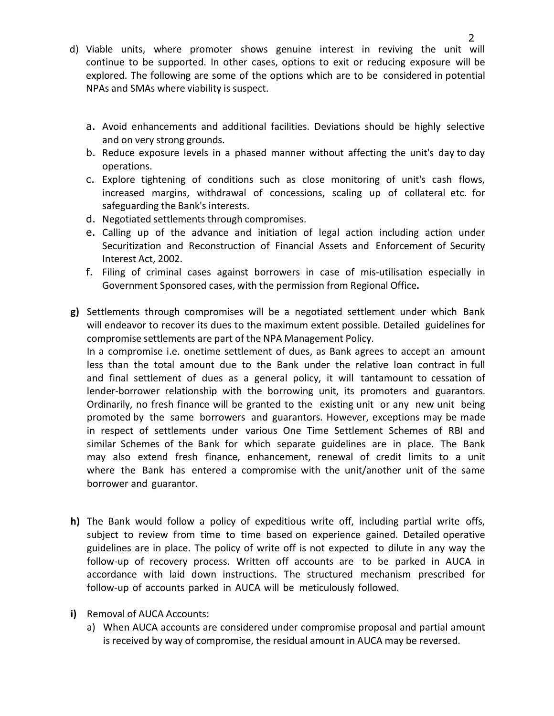- d) Viable units, where promoter shows genuine interest in reviving the unit will continue to be supported. In other cases, options to exit or reducing exposure will be explored. The following are some of the options which are to be considered in potential NPAs and SMAs where viability is suspect.
	- a. Avoid enhancements and additional facilities. Deviations should be highly selective and on very strong grounds.
	- b. Reduce exposure levels in aphased manner without affecting the unit's day to day operations.
	- c. Explore tightening of conditions such as close monitoring of unit's cash flows, increased margins, withdrawal of concessions, scaling up of collateral etc. for safeguarding the Bank's interests.
	- d. Negotiated settlements through compromises.
	- e. Calling up of the advance and initiation of legal action including action under Securitization and Reconstruction of Financial Assets and Enforcement of Security Interest Act, 2002.
	- f. Filing of criminal cases against borrowers in case of mis-utilisation especially in Government Sponsored cases, with the permission from Regional Office**.**
- **g)** Settlements through compromises will be a negotiated settlement under which Bank will endeavor to recover its dues to the maximum extent possible. Detailed guidelines for compromise settlements are part of the NPA Management Policy.

In a compromise i.e. onetime settlement of dues, as Bank agrees to accept an amount less than the total amount due to the Bank under the relative loan contract in full and final settlement of dues as a general policy, it will tantamount to cessation of lender-borrower relationship with the borrowing unit, its promoters and guarantors.<br>Ordinarily, no fresh finance will be granted to the existing unit or any new unit being promoted by the same borrowers and guarantors. However, exceptions may be made in respect of settlements under various One Time Settlement Schemes of RBI and similar Schemes of the Bank for which separate guidelines are in place. The Bank may also extend fresh finance, enhancement, renewal of credit limits to a unit where the Bank has entered a compromise with the unit/another unit of the same borrower and guarantor.

- **h)** The Bank would follow a policy of expeditious write off, including partial write offs, subject to review from time to time based on experience gained. Detailed operative guidelines are in place. The policy of write off is not expected to dilute in any way the follow-up of recovery process. Written off accounts are to be parked in AUCA in accordance with laid down instructions. The structured mechanism prescribed for follow-up of accounts parked in AUCA will be meticulously followed.
- **i)** Removal of AUCA Accounts:
	- a) When AUCA accounts are considered under compromise proposal and partial amount is received by way of compromise, the residual amount in AUCA may be reversed.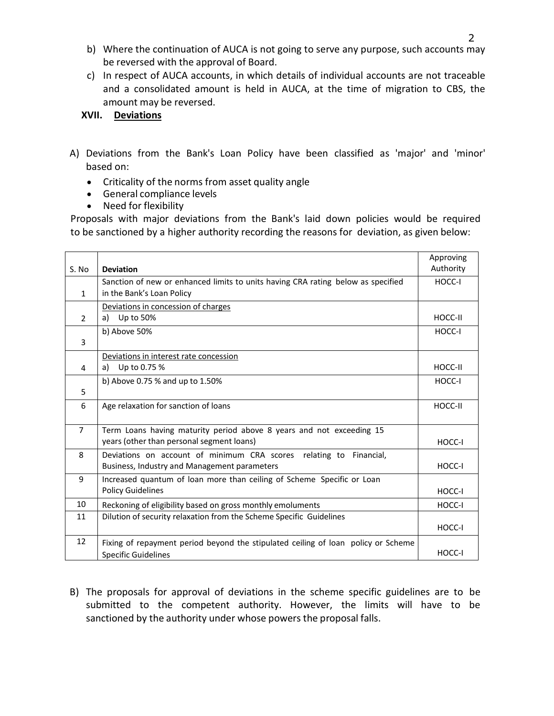- b) Where the continuation of AUCA is not going to serve any purpose, such accounts may be reversed with the approval of Board.
- c) In respect of AUCA accounts, in which details of individual accounts are not traceable and a consolidated amount is held in AUCA, at the time of migration to CBS, the amount may be reversed.

## **XVII. Deviations**

- A) Deviations from the Bank's Loan Policy have been classified as 'major' and 'minor' based on:
	- Criticality of the norms from asset quality angle
	- General compliance levels
	- Need for flexibility

Proposals with major deviations from the Bank's laid down policies would be required to be sanctioned by a higher authority recording the reasons for deviation, as given below:

|                |                                                                                   | Approving |
|----------------|-----------------------------------------------------------------------------------|-----------|
| S. No          | <b>Deviation</b>                                                                  | Authority |
|                | Sanction of new or enhanced limits to units having CRA rating below as specified  | HOCC-I    |
| $\mathbf{1}$   | in the Bank's Loan Policy                                                         |           |
|                | Deviations in concession of charges                                               |           |
| $\overline{2}$ | Up to 50%<br>a)                                                                   | HOCC-II   |
|                | b) Above 50%                                                                      | HOCC-I    |
| 3              |                                                                                   |           |
|                | Deviations in interest rate concession                                            |           |
| 4              | Up to 0.75 %<br>a)                                                                | HOCC-II   |
|                | b) Above 0.75 % and up to 1.50%                                                   | HOCC-I    |
| 5              |                                                                                   |           |
| 6              | Age relaxation for sanction of loans                                              | HOCC-II   |
|                |                                                                                   |           |
| $\overline{7}$ | Term Loans having maturity period above 8 years and not exceeding 15              |           |
|                | years (other than personal segment loans)                                         | HOCC-I    |
| 8              | Deviations on account of minimum CRA scores relating to Financial,                |           |
|                | Business, Industry and Management parameters                                      | HOCC-I    |
| 9              | Increased quantum of loan more than ceiling of Scheme Specific or Loan            |           |
|                | <b>Policy Guidelines</b>                                                          | HOCC-I    |
| 10             | Reckoning of eligibility based on gross monthly emoluments                        | HOCC-I    |
| 11             | Dilution of security relaxation from the Scheme Specific Guidelines               |           |
|                |                                                                                   | HOCC-I    |
| 12             | Fixing of repayment period beyond the stipulated ceiling of loan policy or Scheme |           |
|                | <b>Specific Guidelines</b>                                                        | HOCC-I    |

B) The proposals for approval of deviations in the scheme specific guidelines are to be submitted to the competent authority. However, the limits will have to be sanctioned by the authority under whose powers the proposal falls.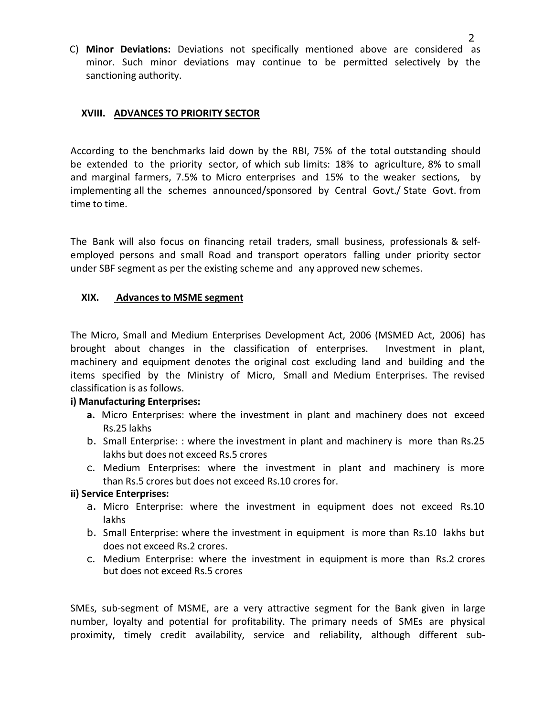C) **Minor Deviations:** Deviations not specifically mentioned above are considered as minor. Such minor deviations may continue to be permitted selectively by the sanctioning authority.

#### **XVIII. ADVANCES TO PRIORITY SECTOR**

According to the benchmarks laid down bythe RBI, 75% of the total outstanding should be extended to the priority sector, of which sub limits: 18% to agriculture, 8% to small and marginal farmers, 7.5% to Micro enterprises and 15% to the weaker sections, by implementing all the schemes announced/sponsored by Central Govt./ State Govt. from time to time.

The Bank will also focus on financing retail traders, small business, professionals & selfemployed persons and small Road and transport operators falling under priority sector under SBF segment as per the existing scheme and any approved new schemes.

#### **XIX. Advances to MSME segment**

The Micro, Small and Medium Enterprises Development Act, 2006 (MSMED Act, 2006) has brought about changes in the classification of enterprises. Investment in plant, machinery and equipment denotes the original cost excluding land and building and the items specified by the Ministry of Micro, Small and Medium Enterprises. The revised classification is as follows.

## **i) Manufacturing Enterprises:**

- **a.** Micro Enterprises: where the investment in plant and machinery does not exceed Rs.25 lakhs
- b. Small Enterprise: : where the investment in plant and machinery is more than Rs.25 lakhs but does not exceed Rs.5 crores
- c. Medium Enterprises: where the investment in plant and machinery is more than Rs.5 crores but does not exceed Rs.10 crores for.

#### **ii) Service Enterprises:**

- a. Micro Enterprise: where the investment in equipment does not exceed Rs.10 lakhs
- b. Small Enterprise: where the investment in equipment is more than Rs.10 lakhs but does not exceed Rs.2 crores.
- c. Medium Enterprise: where the investment in equipment is more than Rs.2 crores but does not exceed Rs.5 crores

SMEs, sub-segment of MSME, are a very attractive segment for the Bank given in large number, loyalty and potential for profitability. The primary needs of SMEs are physical proximity, timely credit availability, service and reliability, although different sub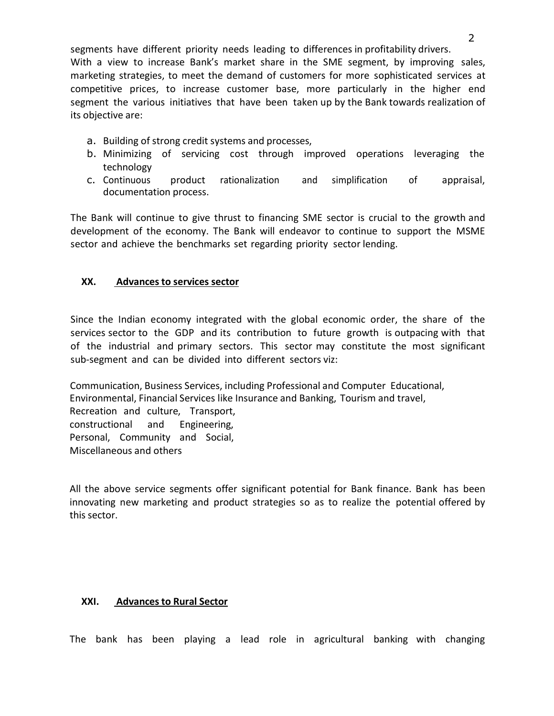segments have different priority needs leading to differences in profitability drivers. With a view to increase Bank's market share in the SME segment, by improving sales, marketing strategies, to meet the demand of customers for more sophisticated services at competitive prices, to increase customer base, more particularly in the higher end segment the various initiatives that have been taken up by the Bank towards realization of its objective are:

- a. Building of strong credit systems and processes,
- b. Minimizing of servicing cost through improved operations leveraging the technology
- c. Continuous product rationalization and simplification of appraisal, documentation process.

The Bank will continue to give thrust to financing SME sector is crucial to the growth and development of the economy. The Bank will endeavor to continue to support the MSME sector and achieve the benchmarks set regarding priority sector lending.

## **XX. Advances to services sector**

Since the Indian economy integrated with the global economic order, the share of the services sector to the GDP and its contribution to future growth is outpacing with that of the industrial and primary sectors.This sector may constitute the most significant sub-segment and can be divided into different sectors viz:

Communication, Business Services, including Professional and Computer Educational, Environmental, Financial Services like Insurance and Banking, Tourism and travel, Recreation and culture, Transport, constructional and Engineering, Personal, Community and Social, Miscellaneous and others

All the above service segments offer significant potential for Bank finance. Bank has been innovating new marketing and product strategies so as to realize the potential offered by this sector.

## **XXI. Advances to Rural Sector**

The bank has been playing a lead role in agricultural banking with changing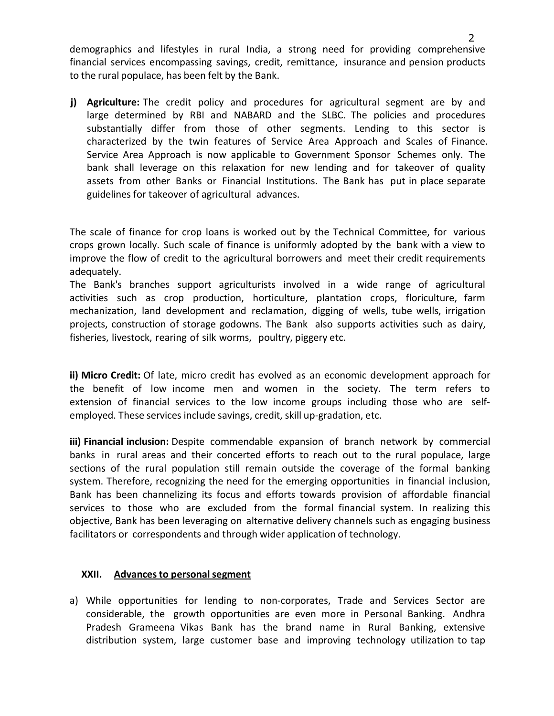demographics and lifestyles in rural India, a strong need for providing comprehensive financial services encompassing savings, credit, remittance, insurance and pension products to the rural populace, has been felt by the Bank.

**j) Agriculture:** The credit policy and procedures for agricultural segment are by and large determined by RBI and NABARD and the SLBC. The policies and procedures substantially differ from those of other segments. Lending to this sector is characterized by the twin features of Service Area Approach and Scales of Finance. Service Area Approach is now applicable to Government Sponsor Schemes only. The bank shall leverage on this relaxation for new lending and for takeover of quality assets from other Banks or Financial Institutions. The Bank has put in place separate guidelines for takeover of agricultural advances.

The scale of finance for crop loans is worked out by the Technical Committee, for various crops grown locally. Such scale of finance is uniformly adopted bythe bank with a view to improve the flow of credit to the agricultural borrowers and meet their credit requirements adequately.

The Bank's branches support agriculturists involved in a wide range of agricultural activities such as crop production, horticulture, plantation crops, floriculture, farm mechanization, land development and reclamation, digging of wells, tube wells, irrigation projects, construction of storage godowns. The Bank also supports activities such as dairy, fisheries, livestock, rearing of silk worms, poultry, piggery etc.

**ii) Micro Credit:** Of late, micro credit has evolved as an economic development approach for the benefit of low income men and women in the society. The term refers to extension of financial services to the low income groups including those who are self employed. These services include savings, credit, skill up-gradation, etc.

**iii) Financial inclusion:** Despite commendable expansion of branch network by commercial banks in rural areas and their concerted efforts to reach out to the rural populace, large sections of the rural population still remain outside the coverage of the formal banking system. Therefore, recognizing the need for the emerging opportunities in financial inclusion, Bank has been channelizing its focus and efforts towards provision of affordable financial services to those who are excluded from the formal financial system. In realizing this objective, Bank has been leveraging on alternative delivery channels such as engaging business facilitators or correspondents and through wider application of technology.

## **XXII. Advances to personalsegment**

a) While opportunities for lending to non-corporates, Trade and Services Sector are considerable, the growth opportunities are even more in Personal Banking. Andhra Pradesh Grameena Vikas Bank has the brand name in Rural Banking, extensive distribution system, large customer base and improving technology utilization to tap